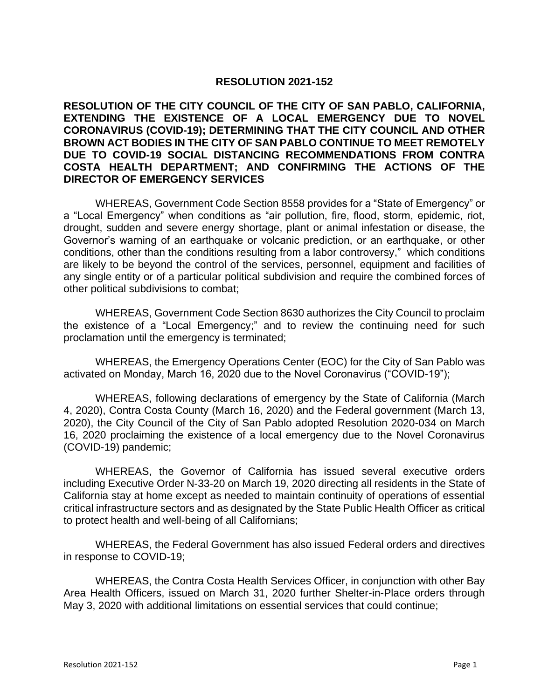## **RESOLUTION 2021-152**

**RESOLUTION OF THE CITY COUNCIL OF THE CITY OF SAN PABLO, CALIFORNIA, EXTENDING THE EXISTENCE OF A LOCAL EMERGENCY DUE TO NOVEL CORONAVIRUS (COVID-19); DETERMINING THAT THE CITY COUNCIL AND OTHER BROWN ACT BODIES IN THE CITY OF SAN PABLO CONTINUE TO MEET REMOTELY DUE TO COVID-19 SOCIAL DISTANCING RECOMMENDATIONS FROM CONTRA COSTA HEALTH DEPARTMENT; AND CONFIRMING THE ACTIONS OF THE DIRECTOR OF EMERGENCY SERVICES**

WHEREAS, Government Code Section 8558 provides for a "State of Emergency" or a "Local Emergency" when conditions as "air pollution, fire, flood, storm, epidemic, riot, drought, sudden and severe energy shortage, plant or animal infestation or disease, the Governor's warning of an earthquake or volcanic prediction, or an earthquake, or other conditions, other than the conditions resulting from a labor controversy," which conditions are likely to be beyond the control of the services, personnel, equipment and facilities of any single entity or of a particular political subdivision and require the combined forces of other political subdivisions to combat;

WHEREAS, Government Code Section 8630 authorizes the City Council to proclaim the existence of a "Local Emergency;" and to review the continuing need for such proclamation until the emergency is terminated;

WHEREAS, the Emergency Operations Center (EOC) for the City of San Pablo was activated on Monday, March 16, 2020 due to the Novel Coronavirus ("COVID-19");

WHEREAS, following declarations of emergency by the State of California (March 4, 2020), Contra Costa County (March 16, 2020) and the Federal government (March 13, 2020), the City Council of the City of San Pablo adopted Resolution 2020-034 on March 16, 2020 proclaiming the existence of a local emergency due to the Novel Coronavirus (COVID-19) pandemic;

WHEREAS, the Governor of California has issued several executive orders including Executive Order N-33-20 on March 19, 2020 directing all residents in the State of California stay at home except as needed to maintain continuity of operations of essential critical infrastructure sectors and as designated by the State Public Health Officer as critical to protect health and well-being of all Californians;

WHEREAS, the Federal Government has also issued Federal orders and directives in response to COVID-19;

WHEREAS, the Contra Costa Health Services Officer, in conjunction with other Bay Area Health Officers, issued on March 31, 2020 further Shelter-in-Place orders through May 3, 2020 with additional limitations on essential services that could continue;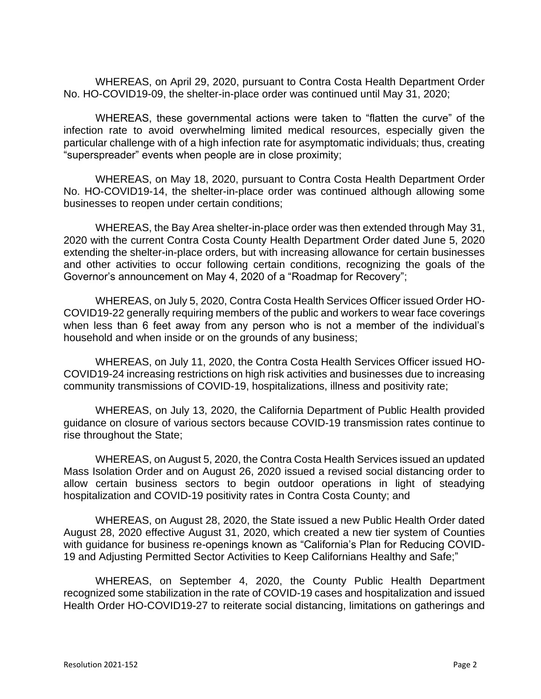WHEREAS, on April 29, 2020, pursuant to Contra Costa Health Department Order No. HO-COVID19-09, the shelter-in-place order was continued until May 31, 2020;

WHEREAS, these governmental actions were taken to "flatten the curve" of the infection rate to avoid overwhelming limited medical resources, especially given the particular challenge with of a high infection rate for asymptomatic individuals; thus, creating "superspreader" events when people are in close proximity;

WHEREAS, on May 18, 2020, pursuant to Contra Costa Health Department Order No. HO-COVID19-14, the shelter-in-place order was continued although allowing some businesses to reopen under certain conditions;

WHEREAS, the Bay Area shelter-in-place order was then extended through May 31, 2020 with the current Contra Costa County Health Department Order dated June 5, 2020 extending the shelter-in-place orders, but with increasing allowance for certain businesses and other activities to occur following certain conditions, recognizing the goals of the Governor's announcement on May 4, 2020 of a "Roadmap for Recovery";

WHEREAS, on July 5, 2020, Contra Costa Health Services Officer issued Order HO-COVID19-22 generally requiring members of the public and workers to wear face coverings when less than 6 feet away from any person who is not a member of the individual's household and when inside or on the grounds of any business;

WHEREAS, on July 11, 2020, the Contra Costa Health Services Officer issued HO-COVID19-24 increasing restrictions on high risk activities and businesses due to increasing community transmissions of COVID-19, hospitalizations, illness and positivity rate;

WHEREAS, on July 13, 2020, the California Department of Public Health provided guidance on closure of various sectors because COVID-19 transmission rates continue to rise throughout the State;

WHEREAS, on August 5, 2020, the Contra Costa Health Services issued an updated Mass Isolation Order and on August 26, 2020 issued a revised social distancing order to allow certain business sectors to begin outdoor operations in light of steadying hospitalization and COVID-19 positivity rates in Contra Costa County; and

WHEREAS, on August 28, 2020, the State issued a new Public Health Order dated August 28, 2020 effective August 31, 2020, which created a new tier system of Counties with guidance for business re-openings known as "California's Plan for Reducing COVID-19 and Adjusting Permitted Sector Activities to Keep Californians Healthy and Safe;"

WHEREAS, on September 4, 2020, the County Public Health Department recognized some stabilization in the rate of COVID-19 cases and hospitalization and issued Health Order HO-COVID19-27 to reiterate social distancing, limitations on gatherings and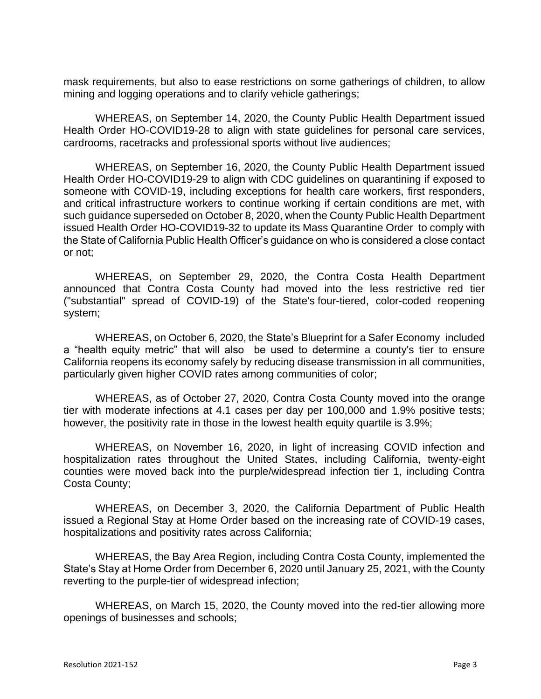mask requirements, but also to ease restrictions on some gatherings of children, to allow mining and logging operations and to clarify vehicle gatherings;

WHEREAS, on September 14, 2020, the County Public Health Department issued Health Order HO-COVID19-28 to align with state guidelines for personal care services, cardrooms, racetracks and professional sports without live audiences;

WHEREAS, on September 16, 2020, the County Public Health Department issued Health Order HO-COVID19-29 to align with CDC guidelines on quarantining if exposed to someone with COVID-19, including exceptions for health care workers, first responders, and critical infrastructure workers to continue working if certain conditions are met, with such guidance superseded on October 8, 2020, when the County Public Health Department issued Health Order HO-COVID19-32 to update its Mass Quarantine Order to comply with the State of California Public Health Officer's guidance on who is considered a close contact or not;

WHEREAS, on September 29, 2020, the Contra Costa Health Department announced that Contra Costa County had moved into the less restrictive red tier ("substantial" spread of COVID-19) of the State's [four-tiered, color-coded reopening](https://covid19.ca.gov/safer-economy/)  [system;](https://covid19.ca.gov/safer-economy/)

WHEREAS, on October 6, 2020, the State's [Blueprint for a Safer Economy](https://www.cdph.ca.gov/Programs/CID/DCDC/Pages/COVID-19/COVID19CountyMonitoringOverview.aspx) included a "health equity metric" that will also be used to determine a county's tier to ensure California reopens its economy safely by reducing disease transmission in all communities, particularly given higher COVID rates among communities of color;

WHEREAS, as of October 27, 2020, Contra Costa County moved into the orange tier with moderate infections at 4.1 cases per day per 100,000 and 1.9% positive tests; however, the positivity rate in those in the lowest health equity quartile is 3.9%;

WHEREAS, on November 16, 2020, in light of increasing COVID infection and hospitalization rates throughout the United States, including California, twenty-eight counties were moved back into the purple/widespread infection tier 1, including Contra Costa County;

WHEREAS, on December 3, 2020, the California Department of Public Health issued a Regional Stay at Home Order based on the increasing rate of COVID-19 cases, hospitalizations and positivity rates across California;

WHEREAS, the Bay Area Region, including Contra Costa County, implemented the State's Stay at Home Order from December 6, 2020 until January 25, 2021, with the County reverting to the purple-tier of widespread infection;

WHEREAS, on March 15, 2020, the County moved into the red-tier allowing more openings of businesses and schools;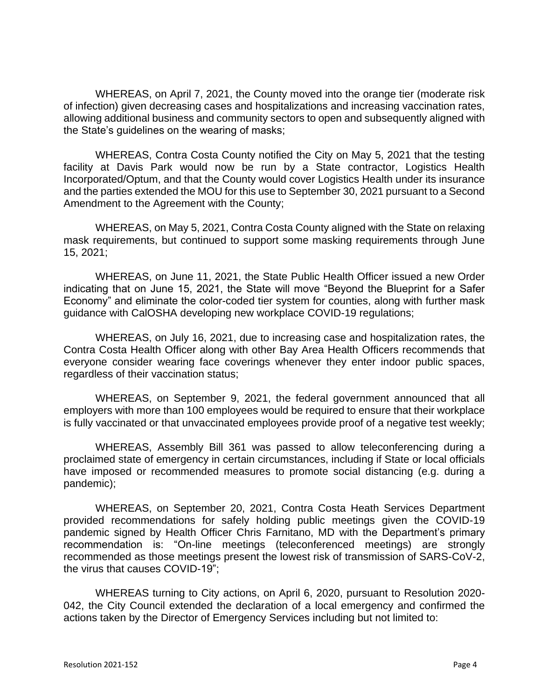WHEREAS, on April 7, 2021, the County moved into the orange tier (moderate risk of infection) given decreasing cases and hospitalizations and increasing vaccination rates, allowing additional business and community sectors to open and subsequently aligned with the State's guidelines on the wearing of masks;

WHEREAS, Contra Costa County notified the City on May 5, 2021 that the testing facility at Davis Park would now be run by a State contractor, Logistics Health Incorporated/Optum, and that the County would cover Logistics Health under its insurance and the parties extended the MOU for this use to September 30, 2021 pursuant to a Second Amendment to the Agreement with the County;

WHEREAS, on May 5, 2021, Contra Costa County aligned with the State on relaxing mask requirements, but continued to support some masking requirements through June 15, 2021;

WHEREAS, on June 11, 2021, the State Public Health Officer issued a new Order indicating that on June 15, 2021, the State will move "Beyond the Blueprint for a Safer Economy" and eliminate the color-coded tier system for counties, along with further mask guidance with CalOSHA developing new workplace COVID-19 regulations;

WHEREAS, on July 16, 2021, due to increasing case and hospitalization rates, the Contra Costa Health Officer along with other Bay Area Health Officers recommends that everyone consider wearing face coverings whenever they enter indoor public spaces, regardless of their vaccination status;

WHEREAS, on September 9, 2021, the federal government announced that all employers with more than 100 employees would be required to ensure that their workplace is fully vaccinated or that unvaccinated employees provide proof of a negative test weekly;

WHEREAS, Assembly Bill 361 was passed to allow teleconferencing during a proclaimed state of emergency in certain circumstances, including if State or local officials have imposed or recommended measures to promote social distancing (e.g. during a pandemic);

WHEREAS, on September 20, 2021, Contra Costa Heath Services Department provided recommendations for safely holding public meetings given the COVID-19 pandemic signed by Health Officer Chris Farnitano, MD with the Department's primary recommendation is: "On-line meetings (teleconferenced meetings) are strongly recommended as those meetings present the lowest risk of transmission of SARS-CoV-2, the virus that causes COVID-19";

WHEREAS turning to City actions, on April 6, 2020, pursuant to Resolution 2020- 042, the City Council extended the declaration of a local emergency and confirmed the actions taken by the Director of Emergency Services including but not limited to: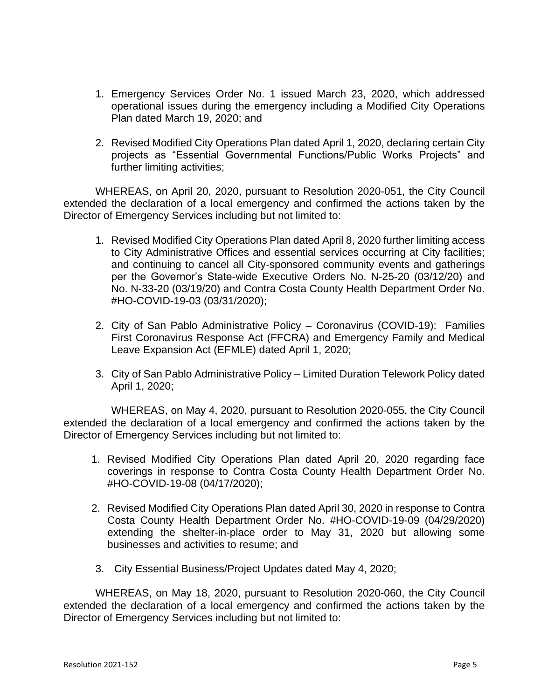- 1. Emergency Services Order No. 1 issued March 23, 2020, which addressed operational issues during the emergency including a Modified City Operations Plan dated March 19, 2020; and
- 2. Revised Modified City Operations Plan dated April 1, 2020, declaring certain City projects as "Essential Governmental Functions/Public Works Projects" and further limiting activities;

WHEREAS, on April 20, 2020, pursuant to Resolution 2020-051, the City Council extended the declaration of a local emergency and confirmed the actions taken by the Director of Emergency Services including but not limited to:

- 1. Revised Modified City Operations Plan dated April 8, 2020 further limiting access to City Administrative Offices and essential services occurring at City facilities; and continuing to cancel all City-sponsored community events and gatherings per the Governor's State-wide Executive Orders No. N-25-20 (03/12/20) and No. N-33-20 (03/19/20) and Contra Costa County Health Department Order No. #HO-COVID-19-03 (03/31/2020);
- 2. City of San Pablo Administrative Policy Coronavirus (COVID-19): Families First Coronavirus Response Act (FFCRA) and Emergency Family and Medical Leave Expansion Act (EFMLE) dated April 1, 2020;
- 3. City of San Pablo Administrative Policy Limited Duration Telework Policy dated April 1, 2020;

WHEREAS, on May 4, 2020, pursuant to Resolution 2020-055, the City Council extended the declaration of a local emergency and confirmed the actions taken by the Director of Emergency Services including but not limited to:

- 1. Revised Modified City Operations Plan dated April 20, 2020 regarding face coverings in response to Contra Costa County Health Department Order No. #HO-COVID-19-08 (04/17/2020);
- 2. Revised Modified City Operations Plan dated April 30, 2020 in response to Contra Costa County Health Department Order No. #HO-COVID-19-09 (04/29/2020) extending the shelter-in-place order to May 31, 2020 but allowing some businesses and activities to resume; and
- 3. City Essential Business/Project Updates dated May 4, 2020;

WHEREAS, on May 18, 2020, pursuant to Resolution 2020-060, the City Council extended the declaration of a local emergency and confirmed the actions taken by the Director of Emergency Services including but not limited to: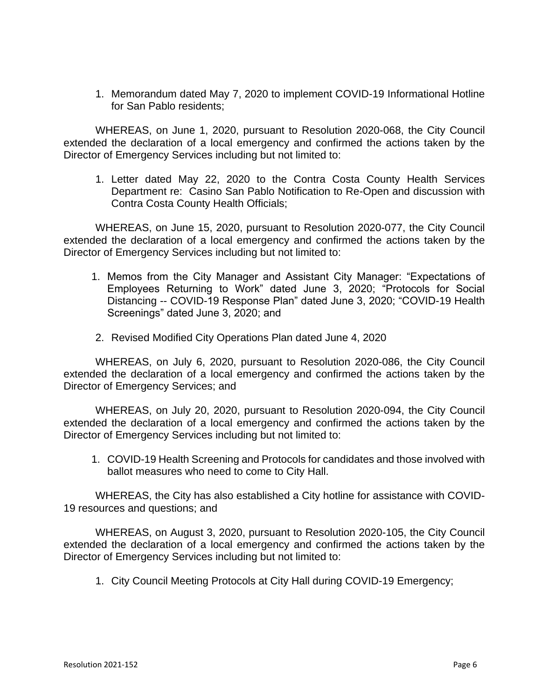1. Memorandum dated May 7, 2020 to implement COVID-19 Informational Hotline for San Pablo residents;

WHEREAS, on June 1, 2020, pursuant to Resolution 2020-068, the City Council extended the declaration of a local emergency and confirmed the actions taken by the Director of Emergency Services including but not limited to:

1. Letter dated May 22, 2020 to the Contra Costa County Health Services Department re: Casino San Pablo Notification to Re-Open and discussion with Contra Costa County Health Officials;

WHEREAS, on June 15, 2020, pursuant to Resolution 2020-077, the City Council extended the declaration of a local emergency and confirmed the actions taken by the Director of Emergency Services including but not limited to:

- 1. Memos from the City Manager and Assistant City Manager: "Expectations of Employees Returning to Work" dated June 3, 2020; "Protocols for Social Distancing -- COVID-19 Response Plan" dated June 3, 2020; "COVID-19 Health Screenings" dated June 3, 2020; and
- 2. Revised Modified City Operations Plan dated June 4, 2020

WHEREAS, on July 6, 2020, pursuant to Resolution 2020-086, the City Council extended the declaration of a local emergency and confirmed the actions taken by the Director of Emergency Services; and

WHEREAS, on July 20, 2020, pursuant to Resolution 2020-094, the City Council extended the declaration of a local emergency and confirmed the actions taken by the Director of Emergency Services including but not limited to:

1. COVID-19 Health Screening and Protocols for candidates and those involved with ballot measures who need to come to City Hall.

WHEREAS, the City has also established a City hotline for assistance with COVID-19 resources and questions; and

WHEREAS, on August 3, 2020, pursuant to Resolution 2020-105, the City Council extended the declaration of a local emergency and confirmed the actions taken by the Director of Emergency Services including but not limited to:

1. City Council Meeting Protocols at City Hall during COVID-19 Emergency;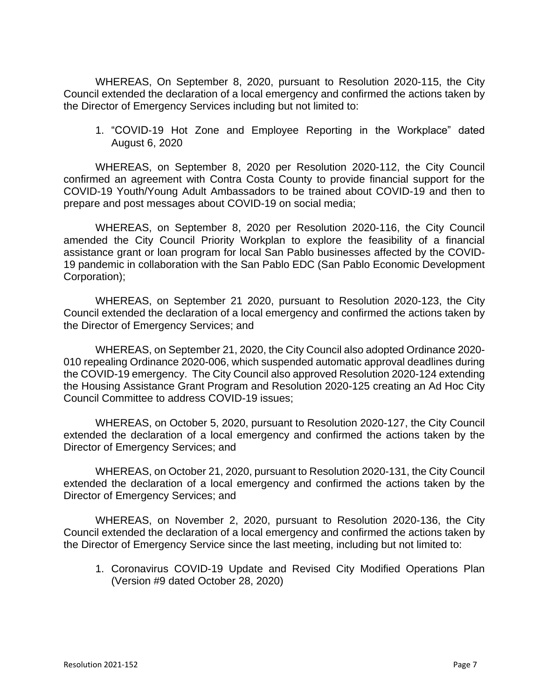WHEREAS, On September 8, 2020, pursuant to Resolution 2020-115, the City Council extended the declaration of a local emergency and confirmed the actions taken by the Director of Emergency Services including but not limited to:

1. "COVID-19 Hot Zone and Employee Reporting in the Workplace" dated August 6, 2020

WHEREAS, on September 8, 2020 per Resolution 2020-112, the City Council confirmed an agreement with Contra Costa County to provide financial support for the COVID-19 Youth/Young Adult Ambassadors to be trained about COVID-19 and then to prepare and post messages about COVID-19 on social media;

WHEREAS, on September 8, 2020 per Resolution 2020-116, the City Council amended the City Council Priority Workplan to explore the feasibility of a financial assistance grant or loan program for local San Pablo businesses affected by the COVID-19 pandemic in collaboration with the San Pablo EDC (San Pablo Economic Development Corporation);

WHEREAS, on September 21 2020, pursuant to Resolution 2020-123, the City Council extended the declaration of a local emergency and confirmed the actions taken by the Director of Emergency Services; and

WHEREAS, on September 21, 2020, the City Council also adopted Ordinance 2020- 010 repealing Ordinance 2020-006, which suspended automatic approval deadlines during the COVID-19 emergency. The City Council also approved Resolution 2020-124 extending the Housing Assistance Grant Program and Resolution 2020-125 creating an Ad Hoc City Council Committee to address COVID-19 issues;

WHEREAS, on October 5, 2020, pursuant to Resolution 2020-127, the City Council extended the declaration of a local emergency and confirmed the actions taken by the Director of Emergency Services; and

WHEREAS, on October 21, 2020, pursuant to Resolution 2020-131, the City Council extended the declaration of a local emergency and confirmed the actions taken by the Director of Emergency Services; and

WHEREAS, on November 2, 2020, pursuant to Resolution 2020-136, the City Council extended the declaration of a local emergency and confirmed the actions taken by the Director of Emergency Service since the last meeting, including but not limited to:

1. Coronavirus COVID-19 Update and Revised City Modified Operations Plan (Version #9 dated October 28, 2020)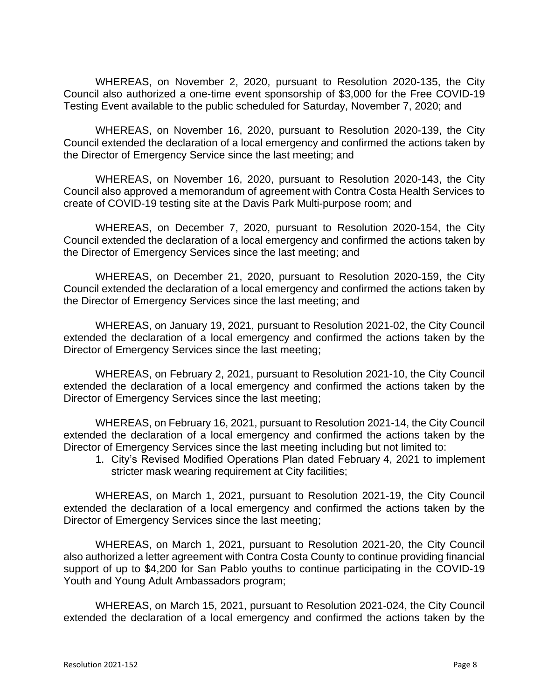WHEREAS, on November 2, 2020, pursuant to Resolution 2020-135, the City Council also authorized a one-time event sponsorship of \$3,000 for the Free COVID-19 Testing Event available to the public scheduled for Saturday, November 7, 2020; and

WHEREAS, on November 16, 2020, pursuant to Resolution 2020-139, the City Council extended the declaration of a local emergency and confirmed the actions taken by the Director of Emergency Service since the last meeting; and

WHEREAS, on November 16, 2020, pursuant to Resolution 2020-143, the City Council also approved a memorandum of agreement with Contra Costa Health Services to create of COVID-19 testing site at the Davis Park Multi-purpose room; and

WHEREAS, on December 7, 2020, pursuant to Resolution 2020-154, the City Council extended the declaration of a local emergency and confirmed the actions taken by the Director of Emergency Services since the last meeting; and

WHEREAS, on December 21, 2020, pursuant to Resolution 2020-159, the City Council extended the declaration of a local emergency and confirmed the actions taken by the Director of Emergency Services since the last meeting; and

WHEREAS, on January 19, 2021, pursuant to Resolution 2021-02, the City Council extended the declaration of a local emergency and confirmed the actions taken by the Director of Emergency Services since the last meeting;

WHEREAS, on February 2, 2021, pursuant to Resolution 2021-10, the City Council extended the declaration of a local emergency and confirmed the actions taken by the Director of Emergency Services since the last meeting;

WHEREAS, on February 16, 2021, pursuant to Resolution 2021-14, the City Council extended the declaration of a local emergency and confirmed the actions taken by the Director of Emergency Services since the last meeting including but not limited to:

1. City's Revised Modified Operations Plan dated February 4, 2021 to implement stricter mask wearing requirement at City facilities;

WHEREAS, on March 1, 2021, pursuant to Resolution 2021-19, the City Council extended the declaration of a local emergency and confirmed the actions taken by the Director of Emergency Services since the last meeting;

WHEREAS, on March 1, 2021, pursuant to Resolution 2021-20, the City Council also authorized a letter agreement with Contra Costa County to continue providing financial support of up to \$4,200 for San Pablo youths to continue participating in the COVID-19 Youth and Young Adult Ambassadors program;

WHEREAS, on March 15, 2021, pursuant to Resolution 2021-024, the City Council extended the declaration of a local emergency and confirmed the actions taken by the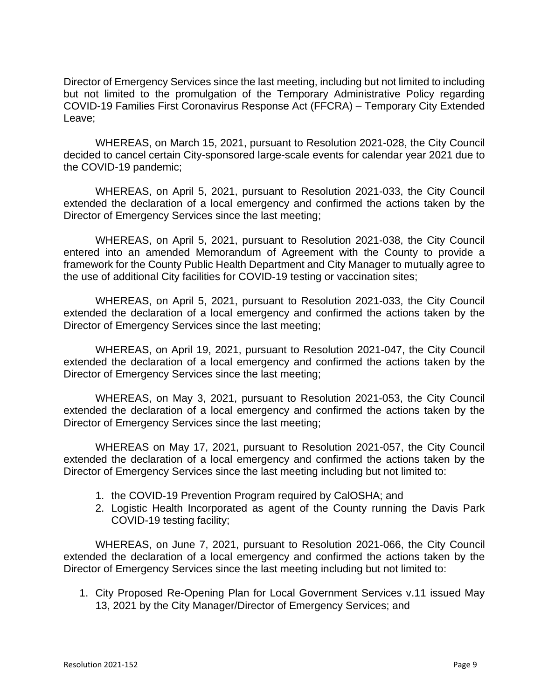Director of Emergency Services since the last meeting, including but not limited to including but not limited to the promulgation of the Temporary Administrative Policy regarding COVID-19 Families First Coronavirus Response Act (FFCRA) – Temporary City Extended Leave;

WHEREAS, on March 15, 2021, pursuant to Resolution 2021-028, the City Council decided to cancel certain City-sponsored large-scale events for calendar year 2021 due to the COVID-19 pandemic;

WHEREAS, on April 5, 2021, pursuant to Resolution 2021-033, the City Council extended the declaration of a local emergency and confirmed the actions taken by the Director of Emergency Services since the last meeting;

WHEREAS, on April 5, 2021, pursuant to Resolution 2021-038, the City Council entered into an amended Memorandum of Agreement with the County to provide a framework for the County Public Health Department and City Manager to mutually agree to the use of additional City facilities for COVID-19 testing or vaccination sites;

WHEREAS, on April 5, 2021, pursuant to Resolution 2021-033, the City Council extended the declaration of a local emergency and confirmed the actions taken by the Director of Emergency Services since the last meeting;

WHEREAS, on April 19, 2021, pursuant to Resolution 2021-047, the City Council extended the declaration of a local emergency and confirmed the actions taken by the Director of Emergency Services since the last meeting;

WHEREAS, on May 3, 2021, pursuant to Resolution 2021-053, the City Council extended the declaration of a local emergency and confirmed the actions taken by the Director of Emergency Services since the last meeting;

WHEREAS on May 17, 2021, pursuant to Resolution 2021-057, the City Council extended the declaration of a local emergency and confirmed the actions taken by the Director of Emergency Services since the last meeting including but not limited to:

- 1. the COVID-19 Prevention Program required by CalOSHA; and
- 2. Logistic Health Incorporated as agent of the County running the Davis Park COVID-19 testing facility;

WHEREAS, on June 7, 2021, pursuant to Resolution 2021-066, the City Council extended the declaration of a local emergency and confirmed the actions taken by the Director of Emergency Services since the last meeting including but not limited to:

1. City Proposed Re-Opening Plan for Local Government Services v.11 issued May 13, 2021 by the City Manager/Director of Emergency Services; and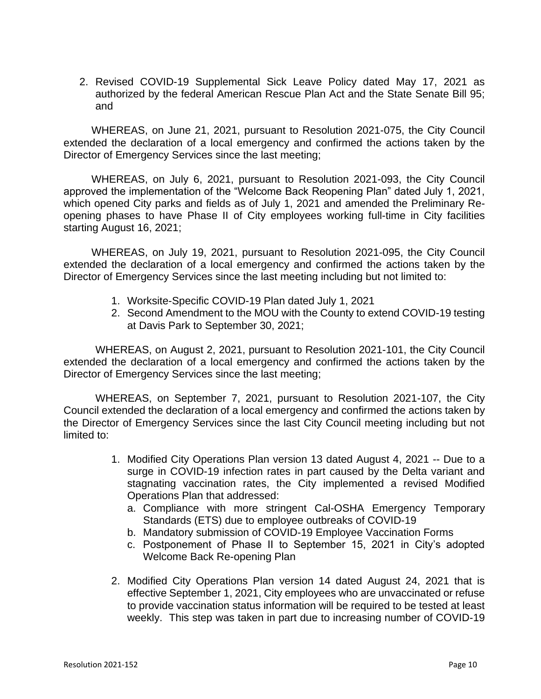2. Revised COVID-19 Supplemental Sick Leave Policy dated May 17, 2021 as authorized by the federal American Rescue Plan Act and the State Senate Bill 95; and

WHEREAS, on June 21, 2021, pursuant to Resolution 2021-075, the City Council extended the declaration of a local emergency and confirmed the actions taken by the Director of Emergency Services since the last meeting;

WHEREAS, on July 6, 2021, pursuant to Resolution 2021-093, the City Council approved the implementation of the "Welcome Back Reopening Plan" dated July 1, 2021, which opened City parks and fields as of July 1, 2021 and amended the Preliminary Reopening phases to have Phase II of City employees working full-time in City facilities starting August 16, 2021;

WHEREAS, on July 19, 2021, pursuant to Resolution 2021-095, the City Council extended the declaration of a local emergency and confirmed the actions taken by the Director of Emergency Services since the last meeting including but not limited to:

- 1. Worksite-Specific COVID-19 Plan dated July 1, 2021
- 2. Second Amendment to the MOU with the County to extend COVID-19 testing at Davis Park to September 30, 2021;

WHEREAS, on August 2, 2021, pursuant to Resolution 2021-101, the City Council extended the declaration of a local emergency and confirmed the actions taken by the Director of Emergency Services since the last meeting;

WHEREAS, on September 7, 2021, pursuant to Resolution 2021-107, the City Council extended the declaration of a local emergency and confirmed the actions taken by the Director of Emergency Services since the last City Council meeting including but not limited to:

- 1. Modified City Operations Plan version 13 dated August 4, 2021 -- Due to a surge in COVID-19 infection rates in part caused by the Delta variant and stagnating vaccination rates, the City implemented a revised Modified Operations Plan that addressed:
	- a. Compliance with more stringent Cal-OSHA Emergency Temporary Standards (ETS) due to employee outbreaks of COVID-19
	- b. Mandatory submission of COVID-19 Employee Vaccination Forms
	- c. Postponement of Phase II to September 15, 2021 in City's adopted Welcome Back Re-opening Plan
- 2. Modified City Operations Plan version 14 dated August 24, 2021 that is effective September 1, 2021, City employees who are unvaccinated or refuse to provide vaccination status information will be required to be tested at least weekly. This step was taken in part due to increasing number of COVID-19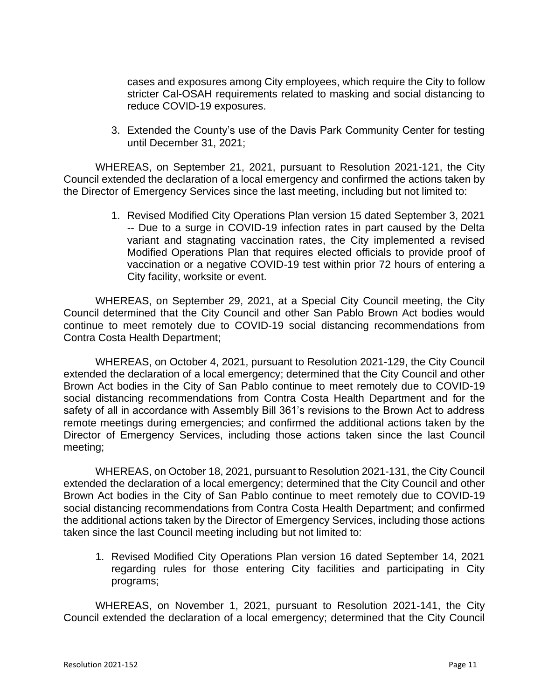cases and exposures among City employees, which require the City to follow stricter Cal-OSAH requirements related to masking and social distancing to reduce COVID-19 exposures.

3. Extended the County's use of the Davis Park Community Center for testing until December 31, 2021;

WHEREAS, on September 21, 2021, pursuant to Resolution 2021-121, the City Council extended the declaration of a local emergency and confirmed the actions taken by the Director of Emergency Services since the last meeting, including but not limited to:

> 1. Revised Modified City Operations Plan version 15 dated September 3, 2021 -- Due to a surge in COVID-19 infection rates in part caused by the Delta variant and stagnating vaccination rates, the City implemented a revised Modified Operations Plan that requires elected officials to provide proof of vaccination or a negative COVID-19 test within prior 72 hours of entering a City facility, worksite or event.

WHEREAS, on September 29, 2021, at a Special City Council meeting, the City Council determined that the City Council and other San Pablo Brown Act bodies would continue to meet remotely due to COVID-19 social distancing recommendations from Contra Costa Health Department;

WHEREAS, on October 4, 2021, pursuant to Resolution 2021-129, the City Council extended the declaration of a local emergency; determined that the City Council and other Brown Act bodies in the City of San Pablo continue to meet remotely due to COVID-19 social distancing recommendations from Contra Costa Health Department and for the safety of all in accordance with Assembly Bill 361's revisions to the Brown Act to address remote meetings during emergencies; and confirmed the additional actions taken by the Director of Emergency Services, including those actions taken since the last Council meeting;

WHEREAS, on October 18, 2021, pursuant to Resolution 2021-131, the City Council extended the declaration of a local emergency; determined that the City Council and other Brown Act bodies in the City of San Pablo continue to meet remotely due to COVID-19 social distancing recommendations from Contra Costa Health Department; and confirmed the additional actions taken by the Director of Emergency Services, including those actions taken since the last Council meeting including but not limited to:

1. Revised Modified City Operations Plan version 16 dated September 14, 2021 regarding rules for those entering City facilities and participating in City programs;

WHEREAS, on November 1, 2021, pursuant to Resolution 2021-141, the City Council extended the declaration of a local emergency; determined that the City Council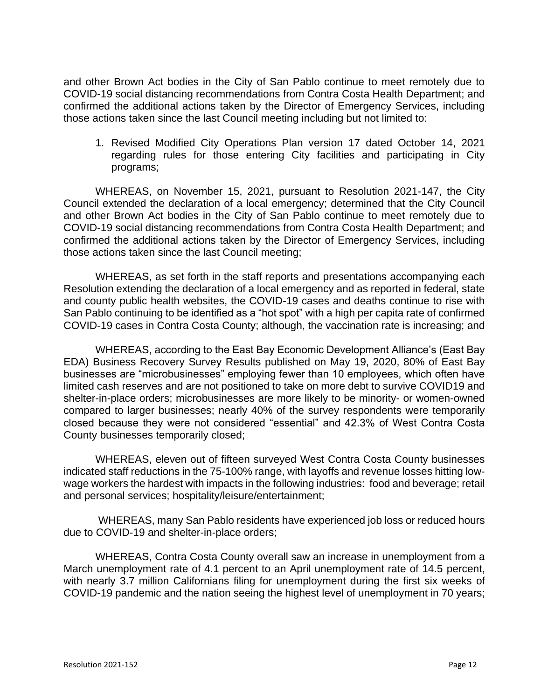and other Brown Act bodies in the City of San Pablo continue to meet remotely due to COVID-19 social distancing recommendations from Contra Costa Health Department; and confirmed the additional actions taken by the Director of Emergency Services, including those actions taken since the last Council meeting including but not limited to:

1. Revised Modified City Operations Plan version 17 dated October 14, 2021 regarding rules for those entering City facilities and participating in City programs;

WHEREAS, on November 15, 2021, pursuant to Resolution 2021-147, the City Council extended the declaration of a local emergency; determined that the City Council and other Brown Act bodies in the City of San Pablo continue to meet remotely due to COVID-19 social distancing recommendations from Contra Costa Health Department; and confirmed the additional actions taken by the Director of Emergency Services, including those actions taken since the last Council meeting;

WHEREAS, as set forth in the staff reports and presentations accompanying each Resolution extending the declaration of a local emergency and as reported in federal, state and county public health websites, the COVID-19 cases and deaths continue to rise with San Pablo continuing to be identified as a "hot spot" with a high per capita rate of confirmed COVID-19 cases in Contra Costa County; although, the vaccination rate is increasing; and

WHEREAS, according to the East Bay Economic Development Alliance's (East Bay EDA) Business Recovery Survey Results published on May 19, 2020, 80% of East Bay businesses are "microbusinesses" employing fewer than 10 employees, which often have limited cash reserves and are not positioned to take on more debt to survive COVID19 and shelter-in-place orders; microbusinesses are more likely to be minority- or women-owned compared to larger businesses; nearly 40% of the survey respondents were temporarily closed because they were not considered "essential" and 42.3% of West Contra Costa County businesses temporarily closed;

WHEREAS, eleven out of fifteen surveyed West Contra Costa County businesses indicated staff reductions in the 75-100% range, with layoffs and revenue losses hitting lowwage workers the hardest with impacts in the following industries: food and beverage; retail and personal services; hospitality/leisure/entertainment;

WHEREAS, many San Pablo residents have experienced job loss or reduced hours due to COVID-19 and shelter-in-place orders;

WHEREAS, Contra Costa County overall saw an increase in unemployment from a March unemployment rate of 4.1 percent to an April unemployment rate of 14.5 percent, with nearly 3.7 million Californians filing for unemployment during the first six weeks of COVID-19 pandemic and the nation seeing the highest level of unemployment in 70 years;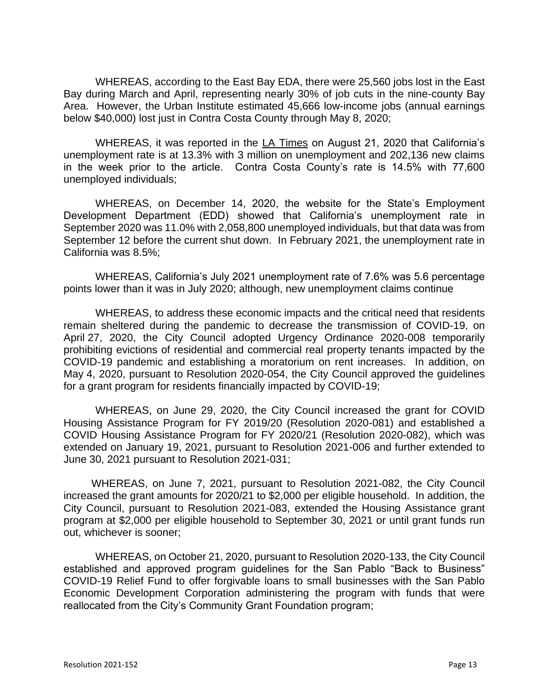WHEREAS, according to the East Bay EDA, there were 25,560 jobs lost in the East Bay during March and April, representing nearly 30% of job cuts in the nine-county Bay Area. However, the Urban Institute estimated 45,666 low-income jobs (annual earnings below \$40,000) lost just in Contra Costa County through May 8, 2020;

WHEREAS, it was reported in the LA Times on August 21, 2020 that California's unemployment rate is at 13.3% with 3 million on unemployment and 202,136 new claims in the week prior to the article. Contra Costa County's rate is 14.5% with 77,600 unemployed individuals;

WHEREAS, on December 14, 2020, the website for the State's Employment Development Department (EDD) showed that California's unemployment rate in September 2020 was 11.0% with 2,058,800 unemployed individuals, but that data was from September 12 before the current shut down. In February 2021, the unemployment rate in California was 8.5%;

WHEREAS, California's July 2021 unemployment rate of 7.6% was 5.6 percentage points lower than it was in July 2020; although, new unemployment claims continue

WHEREAS, to address these economic impacts and the critical need that residents remain sheltered during the pandemic to decrease the transmission of COVID-19, on April 27, 2020, the City Council adopted Urgency Ordinance 2020-008 temporarily prohibiting evictions of residential and commercial real property tenants impacted by the COVID-19 pandemic and establishing a moratorium on rent increases. In addition, on May 4, 2020, pursuant to Resolution 2020-054, the City Council approved the guidelines for a grant program for residents financially impacted by COVID-19;

WHEREAS, on June 29, 2020, the City Council increased the grant for COVID Housing Assistance Program for FY 2019/20 (Resolution 2020-081) and established a COVID Housing Assistance Program for FY 2020/21 (Resolution 2020-082), which was extended on January 19, 2021, pursuant to Resolution 2021-006 and further extended to June 30, 2021 pursuant to Resolution 2021-031;

WHEREAS, on June 7, 2021, pursuant to Resolution 2021-082, the City Council increased the grant amounts for 2020/21 to \$2,000 per eligible household. In addition, the City Council, pursuant to Resolution 2021-083, extended the Housing Assistance grant program at \$2,000 per eligible household to September 30, 2021 or until grant funds run out, whichever is sooner;

WHEREAS, on October 21, 2020, pursuant to Resolution 2020-133, the City Council established and approved program guidelines for the San Pablo "Back to Business" COVID-19 Relief Fund to offer forgivable loans to small businesses with the San Pablo Economic Development Corporation administering the program with funds that were reallocated from the City's Community Grant Foundation program;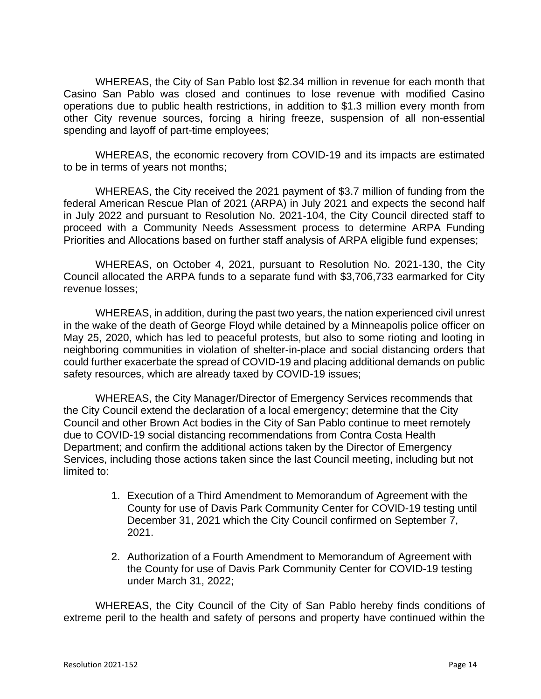WHEREAS, the City of San Pablo lost \$2.34 million in revenue for each month that Casino San Pablo was closed and continues to lose revenue with modified Casino operations due to public health restrictions, in addition to \$1.3 million every month from other City revenue sources, forcing a hiring freeze, suspension of all non-essential spending and layoff of part-time employees;

WHEREAS, the economic recovery from COVID-19 and its impacts are estimated to be in terms of years not months;

WHEREAS, the City received the 2021 payment of \$3.7 million of funding from the federal American Rescue Plan of 2021 (ARPA) in July 2021 and expects the second half in July 2022 and pursuant to Resolution No. 2021-104, the City Council directed staff to proceed with a Community Needs Assessment process to determine ARPA Funding Priorities and Allocations based on further staff analysis of ARPA eligible fund expenses;

WHEREAS, on October 4, 2021, pursuant to Resolution No. 2021-130, the City Council allocated the ARPA funds to a separate fund with \$3,706,733 earmarked for City revenue losses;

WHEREAS, in addition, during the past two years, the nation experienced civil unrest in the wake of the death of George Floyd while detained by a Minneapolis police officer on May 25, 2020, which has led to peaceful protests, but also to some rioting and looting in neighboring communities in violation of shelter-in-place and social distancing orders that could further exacerbate the spread of COVID-19 and placing additional demands on public safety resources, which are already taxed by COVID-19 issues;

WHEREAS, the City Manager/Director of Emergency Services recommends that the City Council extend the declaration of a local emergency; determine that the City Council and other Brown Act bodies in the City of San Pablo continue to meet remotely due to COVID-19 social distancing recommendations from Contra Costa Health Department; and confirm the additional actions taken by the Director of Emergency Services, including those actions taken since the last Council meeting, including but not limited to:

- 1. Execution of a Third Amendment to Memorandum of Agreement with the County for use of Davis Park Community Center for COVID-19 testing until December 31, 2021 which the City Council confirmed on September 7, 2021.
- 2. Authorization of a Fourth Amendment to Memorandum of Agreement with the County for use of Davis Park Community Center for COVID-19 testing under March 31, 2022;

WHEREAS, the City Council of the City of San Pablo hereby finds conditions of extreme peril to the health and safety of persons and property have continued within the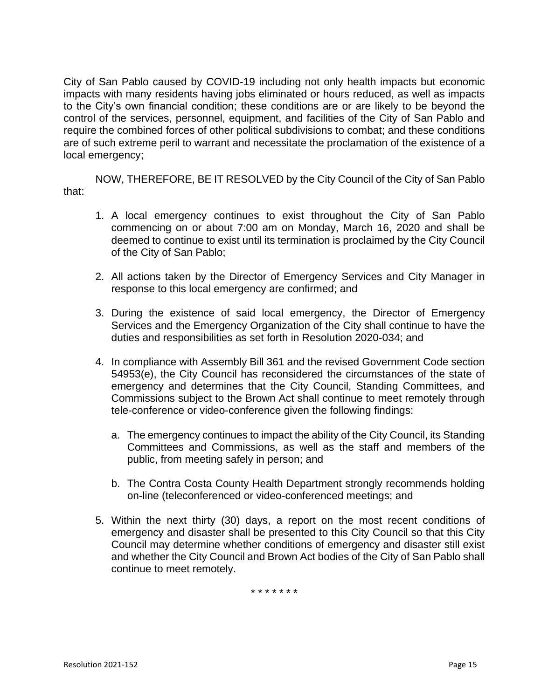City of San Pablo caused by COVID-19 including not only health impacts but economic impacts with many residents having jobs eliminated or hours reduced, as well as impacts to the City's own financial condition; these conditions are or are likely to be beyond the control of the services, personnel, equipment, and facilities of the City of San Pablo and require the combined forces of other political subdivisions to combat; and these conditions are of such extreme peril to warrant and necessitate the proclamation of the existence of a local emergency;

NOW, THEREFORE, BE IT RESOLVED by the City Council of the City of San Pablo that:

- 1. A local emergency continues to exist throughout the City of San Pablo commencing on or about 7:00 am on Monday, March 16, 2020 and shall be deemed to continue to exist until its termination is proclaimed by the City Council of the City of San Pablo;
- 2. All actions taken by the Director of Emergency Services and City Manager in response to this local emergency are confirmed; and
- 3. During the existence of said local emergency, the Director of Emergency Services and the Emergency Organization of the City shall continue to have the duties and responsibilities as set forth in Resolution 2020-034; and
- 4. In compliance with Assembly Bill 361 and the revised Government Code section 54953(e), the City Council has reconsidered the circumstances of the state of emergency and determines that the City Council, Standing Committees, and Commissions subject to the Brown Act shall continue to meet remotely through tele-conference or video-conference given the following findings:
	- a. The emergency continues to impact the ability of the City Council, its Standing Committees and Commissions, as well as the staff and members of the public, from meeting safely in person; and
	- b. The Contra Costa County Health Department strongly recommends holding on-line (teleconferenced or video-conferenced meetings; and
- 5. Within the next thirty (30) days, a report on the most recent conditions of emergency and disaster shall be presented to this City Council so that this City Council may determine whether conditions of emergency and disaster still exist and whether the City Council and Brown Act bodies of the City of San Pablo shall continue to meet remotely.

\* \* \* \* \* \* \*